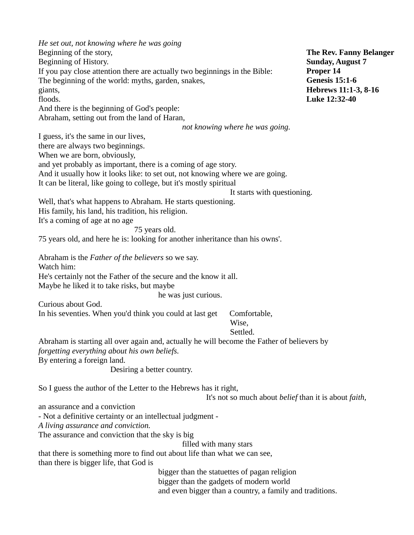*He set out, not knowing where he was going* Beginning of the story, Beginning of History. If you pay close attention there are actually two beginnings in the Bible: The beginning of the world: myths, garden, snakes, giants, floods. And there is the beginning of God's people: Abraham, setting out from the land of Haran, *not knowing where he was going.* I guess, it's the same in our lives, there are always two beginnings. When we are born, obviously, and yet probably as important, there is a coming of age story. And it usually how it looks like: to set out, not knowing where we are going. It can be literal, like going to college, but it's mostly spiritual It starts with questioning. Well, that's what happens to Abraham. He starts questioning. His family, his land, his tradition, his religion. It's a coming of age at no age 75 years old. 75 years old, and here he is: looking for another inheritance than his owns'. Abraham is the *Father of the believers* so we say. Watch him: He's certainly not the Father of the secure and the know it all. Maybe he liked it to take risks, but maybe he was just curious. Curious about God. In his seventies. When you'd think you could at last get Comfortable, Wise, Settled. Abraham is starting all over again and, actually he will become the Father of believers by *forgetting everything about his own beliefs.* By entering a foreign land. Desiring a better country. So I guess the author of the Letter to the Hebrews has it right, It's not so much about *belief* than it is about *faith,* an assurance and a conviction - Not a definitive certainty or an intellectual judgment - *A living assurance and conviction.* The assurance and conviction that the sky is big filled with many stars that there is something more to find out about life than what we can see, than there is bigger life, that God is bigger than the statuettes of pagan religion bigger than the gadgets of modern world and even bigger than a country, a family and traditions. **The Rev. Fanny Belanger Sunday, August 7 Proper 14 Genesis 15:1-6 Hebrews 11:1-3, 8-16 Luke 12:32-40**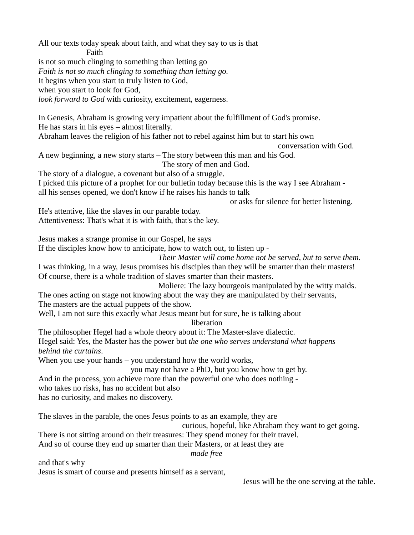All our texts today speak about faith, and what they say to us is that Faith is not so much clinging to something than letting go *Faith is not so much clinging to something than letting go.* It begins when you start to truly listen to God, when you start to look for God, *look forward to God* with curiosity, excitement, eagerness. In Genesis, Abraham is growing very impatient about the fulfillment of God's promise. He has stars in his eyes – almost literally. Abraham leaves the religion of his father not to rebel against him but to start his own conversation with God. A new beginning, a new story starts – The story between this man and his God. The story of men and God. The story of a dialogue, a covenant but also of a struggle. I picked this picture of a prophet for our bulletin today because this is the way I see Abraham all his senses opened, we don't know if he raises his hands to talk or asks for silence for better listening. He's attentive, like the slaves in our parable today. Attentiveness: That's what it is with faith, that's the key. Jesus makes a strange promise in our Gospel, he says If the disciples know how to anticipate, how to watch out, to listen up - *Their Master will come home not be served, but to serve them.* I was thinking, in a way, Jesus promises his disciples than they will be smarter than their masters! Of course, there is a whole tradition of slaves smarter than their masters. Moliere: The lazy bourgeois manipulated by the witty maids. The ones acting on stage not knowing about the way they are manipulated by their servants, The masters are the actual puppets of the show. Well, I am not sure this exactly what Jesus meant but for sure, he is talking about liberation The philosopher Hegel had a whole theory about it: The Master-slave dialectic. Hegel said: Yes, the Master has the power but *the one who serves understand what happens behind the curtains*. When you use your hands – you understand how the world works, you may not have a PhD, but you know how to get by. And in the process, you achieve more than the powerful one who does nothing who takes no risks, has no accident but also has no curiosity, and makes no discovery. The slaves in the parable, the ones Jesus points to as an example, they are curious, hopeful, like Abraham they want to get going. There is not sitting around on their treasures: They spend money for their travel. And so of course they end up smarter than their Masters, or at least they are *made free* and that's why Jesus is smart of course and presents himself as a servant,

Jesus will be the one serving at the table.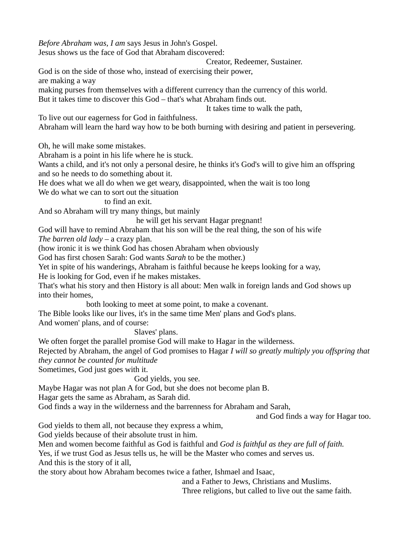*Before Abraham was, I am* says Jesus in John's Gospel. Jesus shows us the face of God that Abraham discovered: Creator, Redeemer, Sustainer. God is on the side of those who, instead of exercising their power, are making a way making purses from themselves with a different currency than the currency of this world. But it takes time to discover this God – that's what Abraham finds out. It takes time to walk the path, To live out our eagerness for God in faithfulness. Abraham will learn the hard way how to be both burning with desiring and patient in persevering. Oh, he will make some mistakes. Abraham is a point in his life where he is stuck. Wants a child, and it's not only a personal desire, he thinks it's God's will to give him an offspring and so he needs to do something about it. He does what we all do when we get weary, disappointed, when the wait is too long We do what we can to sort out the situation to find an exit. And so Abraham will try many things, but mainly he will get his servant Hagar pregnant! God will have to remind Abraham that his son will be the real thing, the son of his wife *The barren old lady –* a crazy plan. (how ironic it is we think God has chosen Abraham when obviously God has first chosen Sarah: God wants *Sarah* to be the mother.) Yet in spite of his wanderings, Abraham is faithful because he keeps looking for a way, He is looking for God, even if he makes mistakes. That's what his story and then History is all about: Men walk in foreign lands and God shows up into their homes, both looking to meet at some point, to make a covenant. The Bible looks like our lives, it's in the same time Men' plans and God's plans. And women' plans, and of course: Slaves' plans. We often forget the parallel promise God will make to Hagar in the wilderness. Rejected by Abraham, the angel of God promises to Hagar *I will so greatly multiply you offspring that they cannot be counted for multitude* Sometimes, God just goes with it. God yields, you see. Maybe Hagar was not plan A for God, but she does not become plan B. Hagar gets the same as Abraham, as Sarah did. God finds a way in the wilderness and the barrenness for Abraham and Sarah, and God finds a way for Hagar too. God yields to them all, not because they express a whim, God yields because of their absolute trust in him. Men and women become faithful as God is faithful and *God is faithful as they are full of faith.* Yes, if we trust God as Jesus tells us, he will be the Master who comes and serves us. And this is the story of it all, the story about how Abraham becomes twice a father, Ishmael and Isaac, and a Father to Jews, Christians and Muslims.

Three religions, but called to live out the same faith.